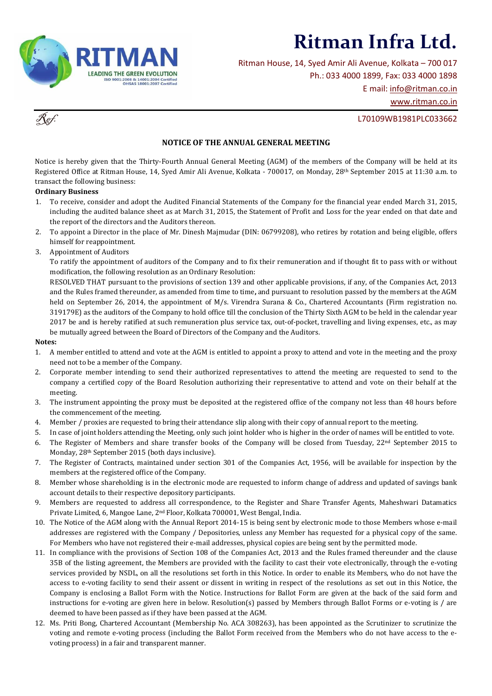

# **Ritman Infra Ltd.**

Ritman House, 14, Syed Amir Ali Avenue, Kolkata – 700 017 Ph.: 033 4000 1899, Fax: 033 4000 1898 E mail: info@ritman.co.in www.ritman.co.in

L70109WB1981PLC033662

### **NOTICE OF THE ANNUAL GENERAL MEETING**

Notice is hereby given that the Thirty-Fourth Annual General Meeting (AGM) of the members of the Company will be held at its Registered Office at Ritman House, 14, Syed Amir Ali Avenue, Kolkata - 700017, on Monday, 28th September 2015 at 11:30 a.m. to transact the following business:

### **Ordinary Business**

- 1. To receive, consider and adopt the Audited Financial Statements of the Company for the financial year ended March 31, 2015, including the audited balance sheet as at March 31, 2015, the Statement of Profit and Loss for the year ended on that date and the report of the directors and the Auditors thereon.
- 2. To appoint a Director in the place of Mr. Dinesh Majmudar (DIN: 06799208), who retires by rotation and being eligible, offers himself for reappointment.
- 3. Appointment of Auditors

To ratify the appointment of auditors of the Company and to fix their remuneration and if thought fit to pass with or without modification, the following resolution as an Ordinary Resolution:

RESOLVED THAT pursuant to the provisions of section 139 and other applicable provisions, if any, of the Companies Act, 2013 and the Rules framed thereunder, as amended from time to time**,** and pursuant to resolution passed by the members at the AGM held on September 26, 2014, the appointment of M/s. Virendra Surana & Co., Chartered Accountants (Firm registration no. 319179E) as the auditors of the Company to hold office till the conclusion of the Thirty Sixth AGM to be held in the calendar year 2017 be and is hereby ratified at such remuneration plus service tax, out-of-pocket, travelling and living expenses, etc., as may be mutually agreed between the Board of Directors of the Company and the Auditors.

#### **Notes:**

- 1. A member entitled to attend and vote at the AGM is entitled to appoint a proxy to attend and vote in the meeting and the proxy need not to be a member of the Company.
- 2. Corporate member intending to send their authorized representatives to attend the meeting are requested to send to the company a certified copy of the Board Resolution authorizing their representative to attend and vote on their behalf at the meeting.
- 3. The instrument appointing the proxy must be deposited at the registered office of the company not less than 48 hours before the commencement of the meeting.
- 4. Member / proxies are requested to bring their attendance slip along with their copy of annual report to the meeting.
- 5. In case of joint holders attending the Meeting, only such joint holder who is higher in the order of names will be entitled to vote.
- 6. The Register of Members and share transfer books of the Company will be closed from Tuesday, 22nd September 2015 to Monday, 28th September 2015 (both days inclusive).
- 7. The Register of Contracts, maintained under section 301 of the Companies Act, 1956, will be available for inspection by the members at the registered office of the Company.
- 8. Member whose shareholding is in the electronic mode are requested to inform change of address and updated of savings bank account details to their respective depository participants.
- 9. Members are requested to address all correspondence, to the Register and Share Transfer Agents, Maheshwari Datamatics Private Limited, 6, Mangoe Lane, 2nd Floor, Kolkata 700001, West Bengal, India.
- 10. The Notice of the AGM along with the Annual Report 2014-15 is being sent by electronic mode to those Members whose e-mail addresses are registered with the Company / Depositories, unless any Member has requested for a physical copy of the same. For Members who have not registered their e-mail addresses, physical copies are being sent by the permitted mode.
- 11. In compliance with the provisions of Section 108 of the Companies Act, 2013 and the Rules framed thereunder and the clause 35B of the listing agreement, the Members are provided with the facility to cast their vote electronically, through the e-voting services provided by NSDL, on all the resolutions set forth in this Notice. In order to enable its Members, who do not have the access to e-voting facility to send their assent or dissent in writing in respect of the resolutions as set out in this Notice, the Company is enclosing a Ballot Form with the Notice. Instructions for Ballot Form are given at the back of the said form and instructions for e-voting are given here in below. Resolution(s) passed by Members through Ballot Forms or e-voting is / are deemed to have been passed as if they have been passed at the AGM.
- 12. Ms. Priti Bong, Chartered Accountant (Membership No. ACA 308263), has been appointed as the Scrutinizer to scrutinize the voting and remote e-voting process (including the Ballot Form received from the Members who do not have access to the evoting process) in a fair and transparent manner.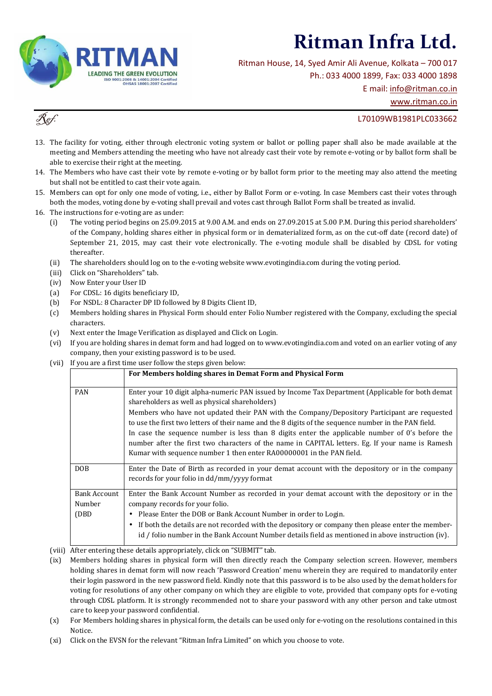

# **Ritman Infra Ltd.**

Ritman House, 14, Syed Amir Ali Avenue, Kolkata – 700 017 Ph.: 033 4000 1899, Fax: 033 4000 1898 E mail: info@ritman.co.in

www.ritman.co.in



### L70109WB1981PLC033662

- 13. The facility for voting, either through electronic voting system or ballot or polling paper shall also be made available at the meeting and Members attending the meeting who have not already cast their vote by remote e-voting or by ballot form shall be able to exercise their right at the meeting.
- 14. The Members who have cast their vote by remote e-voting or by ballot form prior to the meeting may also attend the meeting but shall not be entitled to cast their vote again.
- 15. Members can opt for only one mode of voting, i.e., either by Ballot Form or e-voting. In case Members cast their votes through both the modes, voting done by e-voting shall prevail and votes cast through Ballot Form shall be treated as invalid.
- 16. The instructions for e-voting are as under:
	- (i) The voting period begins on 25.09.2015 at 9.00 A.M. and ends on 27.09.2015 at 5.00 P.M. During this period shareholders' of the Company, holding shares either in physical form or in dematerialized form, as on the cut-off date (record date) of September 21, 2015, may cast their vote electronically. The e-voting module shall be disabled by CDSL for voting thereafter.
	- (ii) The shareholders should log on to the e-voting website www.evotingindia.com during the voting period.
	- (iii) Click on "Shareholders" tab.
	- (iv) Now Enter your User ID
	- (a) For CDSL: 16 digits beneficiary ID,
	- (b) For NSDL: 8 Character DP ID followed by 8 Digits Client ID,
	- (c) Members holding shares in Physical Form should enter Folio Number registered with the Company, excluding the special characters.
	- (v) Next enter the Image Verification as displayed and Click on Login.
	- (vi) If you are holding shares in demat form and had logged on to www.evotingindia.com and voted on an earlier voting of any company, then your existing password is to be used.
	- (vii) If you are a first time user follow the steps given below:

|                                        | For Members holding shares in Demat Form and Physical Form                                                                                                                                                                                                                                                                                                                                                                                                                                                                                                                                                                                |
|----------------------------------------|-------------------------------------------------------------------------------------------------------------------------------------------------------------------------------------------------------------------------------------------------------------------------------------------------------------------------------------------------------------------------------------------------------------------------------------------------------------------------------------------------------------------------------------------------------------------------------------------------------------------------------------------|
| <b>PAN</b>                             | Enter your 10 digit alpha-numeric PAN issued by Income Tax Department (Applicable for both demat<br>shareholders as well as physical shareholders)<br>Members who have not updated their PAN with the Company/Depository Participant are requested<br>to use the first two letters of their name and the 8 digits of the sequence number in the PAN field.<br>In case the sequence number is less than 8 digits enter the applicable number of 0's before the<br>number after the first two characters of the name in CAPITAL letters. Eg. If your name is Ramesh<br>Kumar with sequence number 1 then enter RA00000001 in the PAN field. |
| DOB                                    | Enter the Date of Birth as recorded in your demat account with the depository or in the company<br>records for your folio in dd/mm/yyyy format                                                                                                                                                                                                                                                                                                                                                                                                                                                                                            |
| <b>Bank Account</b><br>Number<br>(DBD) | Enter the Bank Account Number as recorded in your demat account with the depository or in the<br>company records for your folio.<br>Please Enter the DOB or Bank Account Number in order to Login.<br>If both the details are not recorded with the depository or company then please enter the member-<br>id / folio number in the Bank Account Number details field as mentioned in above instruction (iv).                                                                                                                                                                                                                             |

- (viii) After entering these details appropriately, click on "SUBMIT" tab.
- (ix) Members holding shares in physical form will then directly reach the Company selection screen. However, members holding shares in demat form will now reach 'Password Creation' menu wherein they are required to mandatorily enter their login password in the new password field. Kindly note that this password is to be also used by the demat holders for voting for resolutions of any other company on which they are eligible to vote, provided that company opts for e-voting through CDSL platform. It is strongly recommended not to share your password with any other person and take utmost care to keep your password confidential.
- (x) For Members holding shares in physical form, the details can be used only for e-voting on the resolutions contained in this Notice.
- (xi) Click on the EVSN for the relevant "Ritman Infra Limited" on which you choose to vote.